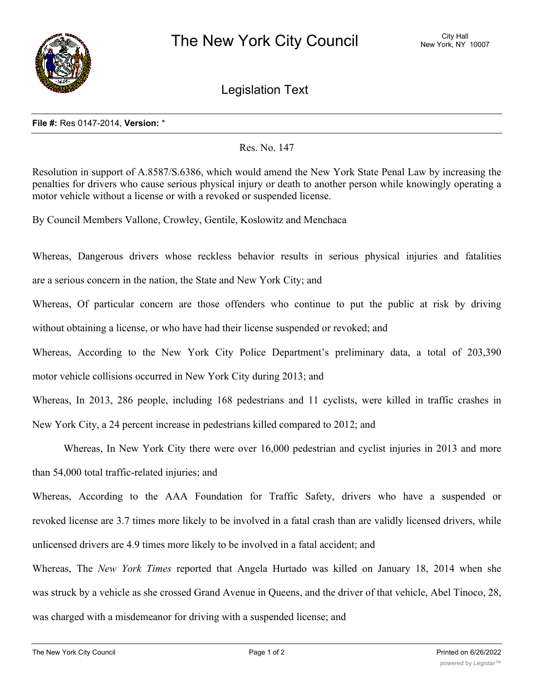

Legislation Text

## **File #:** Res 0147-2014, **Version:** \*

## Res. No. 147

Resolution in support of A.8587/S.6386, which would amend the New York State Penal Law by increasing the penalties for drivers who cause serious physical injury or death to another person while knowingly operating a motor vehicle without a license or with a revoked or suspended license.

By Council Members Vallone, Crowley, Gentile, Koslowitz and Menchaca

Whereas, Dangerous drivers whose reckless behavior results in serious physical injuries and fatalities are a serious concern in the nation, the State and New York City; and

Whereas, Of particular concern are those offenders who continue to put the public at risk by driving without obtaining a license, or who have had their license suspended or revoked; and

Whereas, According to the New York City Police Department's preliminary data, a total of 203,390 motor vehicle collisions occurred in New York City during 2013; and

Whereas, In 2013, 286 people, including 168 pedestrians and 11 cyclists, were killed in traffic crashes in New York City, a 24 percent increase in pedestrians killed compared to 2012; and

Whereas, In New York City there were over 16,000 pedestrian and cyclist injuries in 2013 and more than 54,000 total traffic-related injuries; and

Whereas, According to the AAA Foundation for Traffic Safety, drivers who have a suspended or revoked license are 3.7 times more likely to be involved in a fatal crash than are validly licensed drivers, while unlicensed drivers are 4.9 times more likely to be involved in a fatal accident; and

Whereas, The *New York Times* reported that Angela Hurtado was killed on January 18, 2014 when she was struck by a vehicle as she crossed Grand Avenue in Queens, and the driver of that vehicle, Abel Tinoco, 28, was charged with a misdemeanor for driving with a suspended license; and